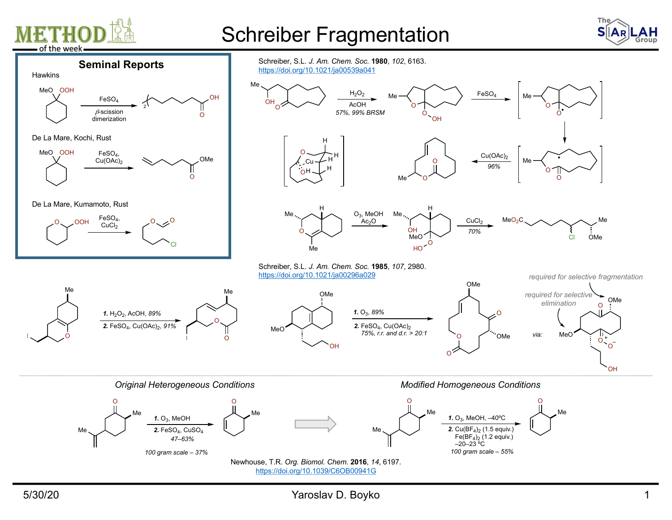

## Schreiber Fragmentation





https://doi.org/10.1039/C6OB00941G